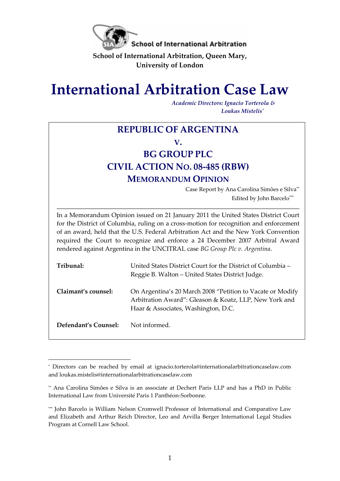

**School of International Arbitration, Queen Mary, University of London**

# **International Arbitration Case Law**

*Academic Directors: Ignacio Torterola & Loukas Mistelis\**

# **REPUBLIC OF ARGENTINA V. BG GROUP PLC CIVIL ACTION NO. 08-485 (RBW) MEMORANDUM OPINION** Case Report by Ana Carolina Simões e Silva\*\* Edited by John Barcelo\*\*\* In a Memorandum Opinion issued on 21 January 2011 the United States District Court for the District of Columbia, ruling on a cross-motion for recognition and enforcement of an award, held that the U.S. Federal Arbitration Act and the New York Convention required the Court to recognize and enforce a 24 December 2007 Arbitral Award rendered against Argentina in the UNCITRAL case *BG Group Plc v. Argentina*. **Tribunal:** United States District Court for the District of Columbia – Reggie B. Walton – United States District Judge. **Claimant's counsel:** On Argentina's 20 March 2008 "Petition to Vacate or Modify Arbitration Award": Gleason & Koatz, LLP, New York and Haar & Associates, Washington, D.C. Defendant's Counsel: Not informed.

l

<sup>\*</sup> Directors can be reached by email at [ignacio.torterola@internationalarbitrationcaselaw.com](mailto:ignacio.torterola@internationalarbitrationcaselaw.com) and [loukas.mistelis@internationalarbitrationcaselaw.com](mailto:loukas.mistelis@internationalarbitrationcaselaw.com) 

<sup>\*\*</sup> Ana Carolina Simões e Silva is an associate at Dechert Paris LLP and has a PhD in Public International Law from Université Paris 1 Panthéon-Sorbonne.

<sup>\*\*\*</sup> John Barcelo is William Nelson Cromwell Professor of International and Comparative Law and Elizabeth and Arthur Reich Director, Leo and Arvilla Berger International Legal Studies Program at Cornell Law School.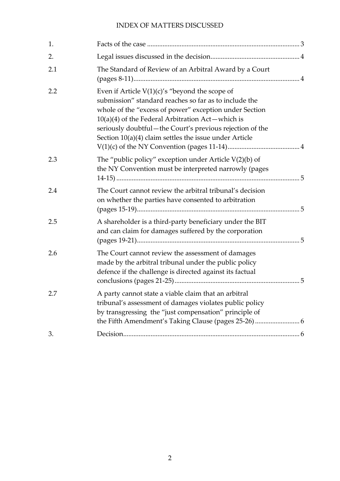# INDEX OF MATTERS DISCUSSED

| 1.  |                                                                                                                                                                                                                                                                                                                                                    |
|-----|----------------------------------------------------------------------------------------------------------------------------------------------------------------------------------------------------------------------------------------------------------------------------------------------------------------------------------------------------|
| 2.  |                                                                                                                                                                                                                                                                                                                                                    |
| 2.1 | The Standard of Review of an Arbitral Award by a Court                                                                                                                                                                                                                                                                                             |
| 2.2 | Even if Article $V(1)(c)$ 's "beyond the scope of<br>submission" standard reaches so far as to include the<br>whole of the "excess of power" exception under Section<br>$10(a)(4)$ of the Federal Arbitration Act—which is<br>seriously doubtful-the Court's previous rejection of the<br>Section $10(a)(4)$ claim settles the issue under Article |
| 2.3 | The "public policy" exception under Article $V(2)(b)$ of<br>the NY Convention must be interpreted narrowly (pages                                                                                                                                                                                                                                  |
| 2.4 | The Court cannot review the arbitral tribunal's decision<br>on whether the parties have consented to arbitration                                                                                                                                                                                                                                   |
| 2.5 | A shareholder is a third-party beneficiary under the BIT<br>and can claim for damages suffered by the corporation                                                                                                                                                                                                                                  |
| 2.6 | The Court cannot review the assessment of damages<br>made by the arbitral tribunal under the public policy<br>defence if the challenge is directed against its factual                                                                                                                                                                             |
| 2.7 | A party cannot state a viable claim that an arbitral<br>tribunal's assessment of damages violates public policy<br>by transgressing the "just compensation" principle of                                                                                                                                                                           |
| 3.  |                                                                                                                                                                                                                                                                                                                                                    |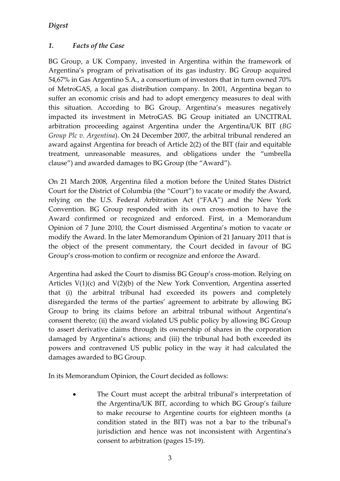# <span id="page-2-0"></span>*1. Facts of the Case*

BG Group, a UK Company, invested in Argentina within the framework of Argentina's program of privatisation of its gas industry. BG Group acquired 54,67% in Gas Argentino S.A., a consortium of investors that in turn owned 70% of MetroGAS, a local gas distribution company. In 2001, Argentina began to suffer an economic crisis and had to adopt emergency measures to deal with this situation. According to BG Group, Argentina's measures negatively impacted its investment in MetroGAS. BG Group initiated an UNCITRAL arbitration proceeding against Argentina under the Argentina/UK BIT (*BG Group Plc v. Argentina*). On 24 December 2007, the arbitral tribunal rendered an award against Argentina for breach of Article 2(2) of the BIT (fair and equitable treatment, unreasonable measures, and obligations under the "umbrella clause") and awarded damages to BG Group (the "Award").

On 21 March 2008, Argentina filed a motion before the United States District Court for the District of Columbia (the "Court") to vacate or modify the Award, relying on the U.S. Federal Arbitration Act ("FAA") and the New York Convention. BG Group responded with its own cross-motion to have the Award confirmed or recognized and enforced. First, in a Memorandum Opinion of 7 June 2010, the Court dismissed Argentina's motion to vacate or modify the Award. In the later Memorandum Opinion of 21 January 2011 that is the object of the present commentary, the Court decided in favour of BG Group's cross-motion to confirm or recognize and enforce the Award.

Argentina had asked the Court to dismiss BG Group's cross-motion. Relying on Articles V(1)(c) and V(2)(b) of the New York Convention, Argentina asserted that (i) the arbitral tribunal had exceeded its powers and completely disregarded the terms of the parties' agreement to arbitrate by allowing BG Group to bring its claims before an arbitral tribunal without Argentina's consent thereto; (ii) the award violated US public policy by allowing BG Group to assert derivative claims through its ownership of shares in the corporation damaged by Argentina's actions; and (iii) the tribunal had both exceeded its powers and contravened US public policy in the way it had calculated the damages awarded to BG Group.

In its Memorandum Opinion, the Court decided as follows:

 The Court must accept the arbitral tribunal's interpretation of the Argentina/UK BIT, according to which BG Group's failure to make recourse to Argentine courts for eighteen months (a condition stated in the BIT) was not a bar to the tribunal's jurisdiction and hence was not inconsistent with Argentina's consent to arbitration (pages 15-19).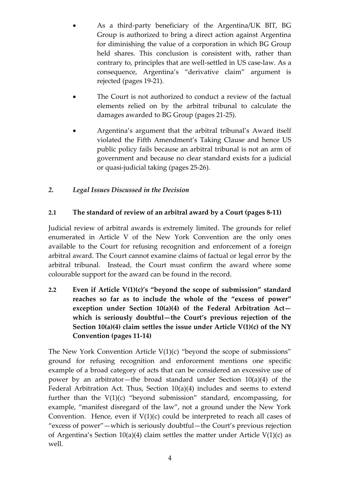- As a third-party beneficiary of the Argentina/UK BIT, BG Group is authorized to bring a direct action against Argentina for diminishing the value of a corporation in which BG Group held shares. This conclusion is consistent with, rather than contrary to, principles that are well-settled in US case-law. As a consequence, Argentina's "derivative claim" argument is rejected (pages 19-21).
- The Court is not authorized to conduct a review of the factual elements relied on by the arbitral tribunal to calculate the damages awarded to BG Group (pages 21-25).
- Argentina's argument that the arbitral tribunal's Award itself violated the Fifth Amendment's Taking Clause and hence US public policy fails because an arbitral tribunal is not an arm of government and because no clear standard exists for a judicial or quasi-judicial taking (pages 25-26).

#### <span id="page-3-0"></span>*2. Legal Issues Discussed in the Decision*

#### <span id="page-3-1"></span>**2.1 The standard of review of an arbitral award by a Court (pages 8-11)**

Judicial review of arbitral awards is extremely limited. The grounds for relief enumerated in Article V of the New York Convention are the only ones available to the Court for refusing recognition and enforcement of a foreign arbitral award. The Court cannot examine claims of factual or legal error by the arbitral tribunal. Instead, the Court must confirm the award where some colourable support for the award can be found in the record.

<span id="page-3-2"></span>**2.2 Even if Article V(1)(c)'s "beyond the scope of submission" standard reaches so far as to include the whole of the "excess of power" exception under Section 10(a)(4) of the Federal Arbitration Act which is seriously doubtful—the Court's previous rejection of the Section 10(a)(4) claim settles the issue under Article V(1)(c) of the NY Convention (pages 11-14)**

The New York Convention Article  $V(1)(c)$  "beyond the scope of submissions" ground for refusing recognition and enforcement mentions one specific example of a broad category of acts that can be considered an excessive use of power by an arbitrator—the broad standard under Section 10(a)(4) of the Federal Arbitration Act. Thus, Section 10(a)(4) includes and seems to extend further than the  $V(1)(c)$  "beyond submission" standard, encompassing, for example, "manifest disregard of the law", not a ground under the New York Convention. Hence, even if  $V(1)(c)$  could be interpreted to reach all cases of "excess of power"—which is seriously doubtful—the Court's previous rejection of Argentina's Section  $10(a)(4)$  claim settles the matter under Article V(1)(c) as well.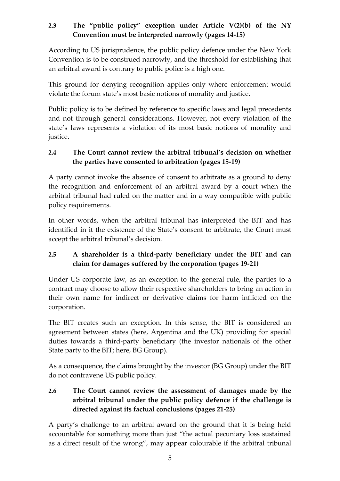# <span id="page-4-0"></span>**2.3 The "public policy" exception under Article V(2)(b) of the NY Convention must be interpreted narrowly (pages 14-15)**

According to US jurisprudence, the public policy defence under the New York Convention is to be construed narrowly, and the threshold for establishing that an arbitral award is contrary to public police is a high one.

This ground for denying recognition applies only where enforcement would violate the forum state's most basic notions of morality and justice.

Public policy is to be defined by reference to specific laws and legal precedents and not through general considerations. However, not every violation of the state's laws represents a violation of its most basic notions of morality and justice.

## <span id="page-4-1"></span>**2.4 The Court cannot review the arbitral tribunal's decision on whether the parties have consented to arbitration (pages 15-19)**

A party cannot invoke the absence of consent to arbitrate as a ground to deny the recognition and enforcement of an arbitral award by a court when the arbitral tribunal had ruled on the matter and in a way compatible with public policy requirements.

In other words, when the arbitral tribunal has interpreted the BIT and has identified in it the existence of the State's consent to arbitrate, the Court must accept the arbitral tribunal's decision.

# <span id="page-4-2"></span>**2.5 A shareholder is a third-party beneficiary under the BIT and can claim for damages suffered by the corporation (pages 19-21)**

Under US corporate law, as an exception to the general rule, the parties to a contract may choose to allow their respective shareholders to bring an action in their own name for indirect or derivative claims for harm inflicted on the corporation.

The BIT creates such an exception. In this sense, the BIT is considered an agreement between states (here, Argentina and the UK) providing for special duties towards a third-party beneficiary (the investor nationals of the other State party to the BIT; here, BG Group).

As a consequence, the claims brought by the investor (BG Group) under the BIT do not contravene US public policy.

<span id="page-4-3"></span>**2.6 The Court cannot review the assessment of damages made by the arbitral tribunal under the public policy defence if the challenge is directed against its factual conclusions (pages 21-25)**

A party's challenge to an arbitral award on the ground that it is being held accountable for something more than just "the actual pecuniary loss sustained as a direct result of the wrong", may appear colourable if the arbitral tribunal